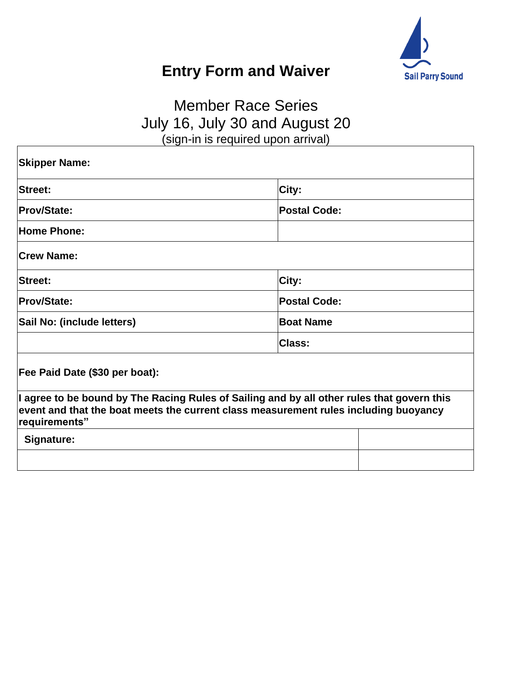

## **Entry Form and Waiver**

## Member Race Series July 16, July 30 and August 20 (sign-in is required upon arrival)

| <b>Skipper Name:</b>           |                                                                                                                                                                                    |
|--------------------------------|------------------------------------------------------------------------------------------------------------------------------------------------------------------------------------|
| <b>Street:</b>                 | City:                                                                                                                                                                              |
| <b>Prov/State:</b>             | <b>Postal Code:</b>                                                                                                                                                                |
| <b>Home Phone:</b>             |                                                                                                                                                                                    |
| <b>Crew Name:</b>              |                                                                                                                                                                                    |
| Street:                        | City:                                                                                                                                                                              |
| <b>Prov/State:</b>             | <b>Postal Code:</b>                                                                                                                                                                |
| Sail No: (include letters)     | <b>Boat Name</b>                                                                                                                                                                   |
|                                | <b>Class:</b>                                                                                                                                                                      |
| Fee Paid Date (\$30 per boat): |                                                                                                                                                                                    |
| requirements"                  | I agree to be bound by The Racing Rules of Sailing and by all other rules that govern this<br>event and that the boat meets the current class measurement rules including buoyancy |
| Signature:                     |                                                                                                                                                                                    |
|                                |                                                                                                                                                                                    |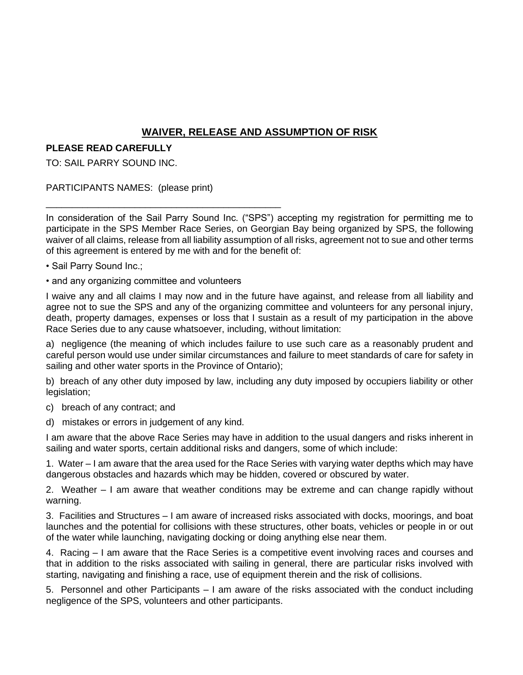## **WAIVER, RELEASE AND ASSUMPTION OF RISK**

## **PLEASE READ CAREFULLY**

TO: SAIL PARRY SOUND INC.

PARTICIPANTS NAMES: (please print)

In consideration of the Sail Parry Sound Inc. ("SPS") accepting my registration for permitting me to participate in the SPS Member Race Series, on Georgian Bay being organized by SPS, the following waiver of all claims, release from all liability assumption of all risks, agreement not to sue and other terms of this agreement is entered by me with and for the benefit of:

- Sail Parry Sound Inc.;
- and any organizing committee and volunteers

\_\_\_\_\_\_\_\_\_\_\_\_\_\_\_\_\_\_\_\_\_\_\_\_\_\_\_\_\_\_\_\_\_\_\_\_\_\_\_\_\_\_\_\_\_

I waive any and all claims I may now and in the future have against, and release from all liability and agree not to sue the SPS and any of the organizing committee and volunteers for any personal injury, death, property damages, expenses or loss that I sustain as a result of my participation in the above Race Series due to any cause whatsoever, including, without limitation:

a) negligence (the meaning of which includes failure to use such care as a reasonably prudent and careful person would use under similar circumstances and failure to meet standards of care for safety in sailing and other water sports in the Province of Ontario);

b) breach of any other duty imposed by law, including any duty imposed by occupiers liability or other legislation;

- c) breach of any contract; and
- d) mistakes or errors in judgement of any kind.

I am aware that the above Race Series may have in addition to the usual dangers and risks inherent in sailing and water sports, certain additional risks and dangers, some of which include:

1. Water – I am aware that the area used for the Race Series with varying water depths which may have dangerous obstacles and hazards which may be hidden, covered or obscured by water.

2. Weather – I am aware that weather conditions may be extreme and can change rapidly without warning.

3. Facilities and Structures – I am aware of increased risks associated with docks, moorings, and boat launches and the potential for collisions with these structures, other boats, vehicles or people in or out of the water while launching, navigating docking or doing anything else near them.

4. Racing – I am aware that the Race Series is a competitive event involving races and courses and that in addition to the risks associated with sailing in general, there are particular risks involved with starting, navigating and finishing a race, use of equipment therein and the risk of collisions.

5. Personnel and other Participants – I am aware of the risks associated with the conduct including negligence of the SPS, volunteers and other participants.